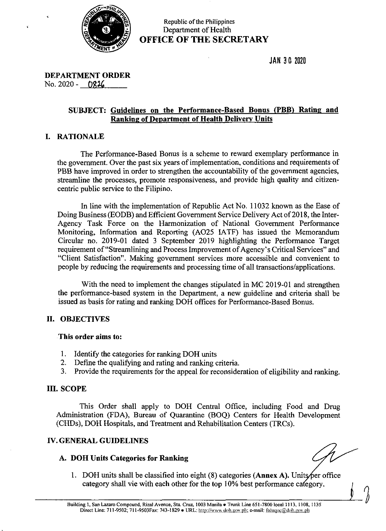

Republic of the Philippines Department of Health OFFICE OF THE SECRETARY

JAN 38 2020

DEPARTMENT ORDER No. 2020 - 0826

## SUBJECT: Guidelines on the Performance-Based Bonus (PBB) Rating and Ranking of Department of Health Delivery Units

## I. RATIONALE

The Performance-Based Bonus is a scheme to reward exemplary performance in the government. Over the past six years of implementation, conditions and requirements of PBB have improved in order to strengthen the accountability of the government agencies, streamline the processes, promote responsiveness, and provide high quality and citizencentric public service to the Filipino.

In line with the implementation of Republic Act No. 11032 known as the Ease of Doing Business (EODB) and Efficient Government Service Delivery Act of 2018, the Inter-Agency Task Force on the Harmonization of National Government Performance Monitoring, Information and Reporting (AO25 IATF) has issued the Memorandum Circular no. 2019-01 dated <sup>3</sup> September 2019 highlighting the Performance Target requirement of "Streamlining and Process Improvement of Agency's Critical Services" and "Client Satisfaction". Making government services more accessible and convenient to people by reducing the requirements and processing time of all transactions/applications.

With the need to implement the changes stipulated in MC 2019-01 and strengthen the performance-based system in the Department, a new guideline and criteria shall be issued as basis for rating and ranking DOH offices for Performance-Based Bonus.

## II. OBJECTIVES

### This order aims to:

- 1. Identify the categories for ranking DOH units
- 2. Define the qualifying and rating and ranking criteria.
- 3. Provide the requirements for the appeal for reconsideration of eligibility and ranking.

## III. SCOPE

This Order shall apply to DOH Central Office, including Food and Drug Administration (FDA), Bureau of Quarantine (BOQ) Centers for Health Development (CHDs), DOH Hospitals, and Treatment and Rehabilitation Centers (TRC).

## IV.GENERAL GUIDELINES

## A. DOH Units Categories for Ranking

 $\int$ 

1. DOH units shall be classified into eight  $(8)$  categories (Annex A). Units fer office category shall vie with each other for the top 10% best performance category.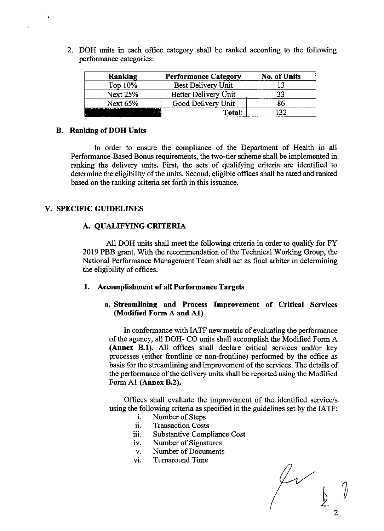2. DOH units in each office category shall be ranked according to the following performance categories:

| <b>Ranking</b>  | <b>Performance Category</b> | <b>No. of Units</b> |
|-----------------|-----------------------------|---------------------|
| Top 10%         | Best Delivery Unit          |                     |
| <b>Next 25%</b> | Better Delivery Unit        | 33                  |
| Next 65%        | Good Delivery Unit          | 86                  |
|                 | Total:                      | 132                 |

### B. Ranking of DOH Units

In order to ensure the compliance of the Department of Health in all Performance-Based Bonus requirements, the two-tier scheme shall be implemented in ranking the delivery units. First, the sets of qualifying criteria are identified to determine the eligibility of the units. Second, eligible offices shall be rated and ranked based on the ranking criteria set forth in this issuance.

## V. SPECIFIC GUIDELINES

#### A. QUALIFYING CRITERIA

All DOH units shall meet the following criteria in order to qualify for FY 2019 PBB grant. With the recommendation of the Technical Working Group, the National Performance Management Team shall act as final arbiter in determining the eligibility of offices.

#### 1. Accomplishment of all Performance Targets

## a. Streamlining and Process Improvement of Critical Services (Modified Form A and Al)

In conformance with IATF new metric of evaluating the performance of the agency, all DOH- CO units shall accomplish the Modified Form A (Annex B.1). All offices shall declare critical services and/or key processes (either frontline or non-frontline) performed by the office as basis for the streamlining and improvement of the services. The details of the performance of the delivery units shall be reported using the Modified Form Al (Annex B.2).

Offices shall evaluate the improvement of the identified service/s using the following criteria as specified in the guidelines set by the IATF:<br>i. Number of Steps

- Number of Steps
- il. Transaction Costs
- iii. Substantive Compliance Cost
- iv. Number of Signatures
- v. Number of Documents
- vi. Turnaround Time

 $\begin{matrix} 2 & 1 \\ 1 & 1 \end{matrix}$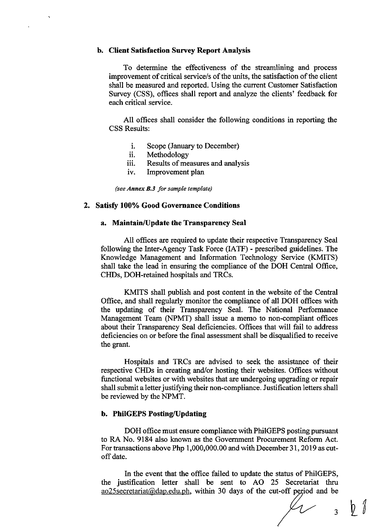### b. Client Satisfaction Survey Report Analysis

To determine the effectiveness of the streamlining and process improvement of critical service/s of the units, the satisfaction of the client shall be measured and reported. Using the current Customer Satisfaction Survey (CSS), offices shall report and analyze the clients' feedback for each critical service.

All offices shall consider the following conditions in reporting the CSS Results:

- i. Scope (January to December)
- ii. Methodology
- iii. Results of measures and analysis
- iv. Improvement plan

(see Annex B.3 for sample template)

#### 2. Satisfy 100% Good Governance Conditions

## a. Maintain/Update the Transparency Seal

All offices are required to update their respective Transparency Seal following the Inter-Agency Task Force (IATF) - prescribed guidelines. The Knowledge Management and Information Technology Service (KMITS) shall take the lead in ensuring the compliance of the DOH Central Office, CHDs, DOH-retained hospitals and TRCs.

KMITS shall publish and post content in the website of the Central Office, and shall regularly monitor the compliance of all DOH offices with the updating of their Transparency Seal. The National Performance Management Team (NPMT) shall issue a memo to non-compliant offices about their Transparency Seal deficiencies. Offices that will fail to address deficiencies on or before the final assessment shall be disqualified to receive the grant.

Hospitals and TRCs are advised to seek the assistance of their respective CHDs in creating and/or hosting their websites. Offices without functional websites or with websites that are undergoing upgrading or repair shall submit a letter justifying their non-compliance. Justification letters shall be reviewed by the NPMT.

## b. PhilGEPS Posting/Updating

DOH office must ensure compliance with PhilGEPS posting pursuant to RA No. 9184 also known as the Government Procurement Reform Act. For transactions above Php 1,000,000.00 and with December 31,2019 as cutoff date.

In the event that the office failed to update the status of PhilGEPS, the justification letter shall be sent to AO 25 Secretariat thru ao25secretariat@dap.edu.ph, within 30 days of the cut-off period and be

 $\,$ <sub>3</sub>  $\,$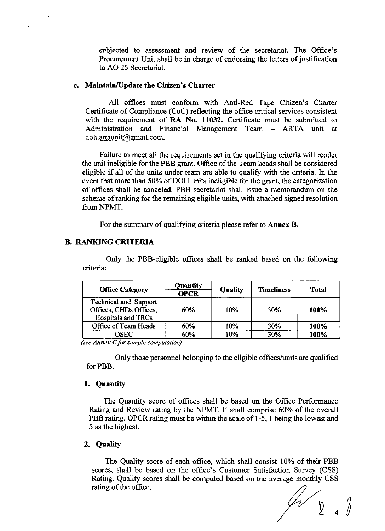subjected to assessment and review of the secretariat. The Office's Procurement Unit shall be in charge of endorsing the letters of justification to AO 25 Secretariat.

## ¢. Maintain/Update the Citizen's Charter

All offices must conform with Anti-Red Tape Citizen's Charter Certificate of Compliance (CoC) reflecting the office critical services consistent with the requirement of RA No. 11032. Certificate must be submitted to Administration and Financial Management Team — ARTA unit at doh.artaunit@gmail.com.

Failure to meet all the requirements set in the qualifying criteria will render the unit ineligible for the PBB grant. Office of the Team heads shall be considered eligible if all of the units under team are able to qualify with the criteria. In the event that more than 50% of DOH units ineligible for the grant, the categorization ofoffices shall be canceled. PBB secretariat shall issue a memorandum on the scheme ofranking for the remaining eligible units, with attached signed resolution from NPMT.

For the summary of qualifying criteria please refer to Annex B.

## B. RANKING CRITERIA

Only the PBB-eligible offices shall be ranked based on the following criteria:

| <b>Office Category</b>                                                              | Quantity<br><b>OPCR</b> | <b>Quality</b> | <b>Timeliness</b> | <b>Total</b> |
|-------------------------------------------------------------------------------------|-------------------------|----------------|-------------------|--------------|
| <b>Technical and Support</b><br>Offices, CHDs Offices,<br><b>Hospitals and TRCs</b> | 60%                     | 10%            | 30%               | 100%         |
| Office of Team Heads                                                                | 60%                     | 10%            | 30%               | 100%         |
| OSEC                                                                                | 60%                     | 10%            | 30%               | 100%         |

(see  $Annex$  C for sample computation)

Only those personnel belonging to the eligible offices/units are qualified for PBB.

## 1. Quantity

The Quantity score of offices shall be based on the Office Performance Rating and Review rating by the NPMT. It shall comprise 60% of the overall PBB rating. OPCR rating must be within the scale of 1-5, <sup>1</sup> being the lowest and 5 as the highest.

#### 2. Quality

The Quality score of each office, which shall consist 10% of their PBB scores, shall be based on the office's Customer Satisfaction Survey (CSS) Rating. Quality scores shall be computed based on the average monthly CSS rating of the office.

 $\begin{bmatrix} 0 & 0 \\ 0 & 0 \\ 0 & 0 \end{bmatrix}$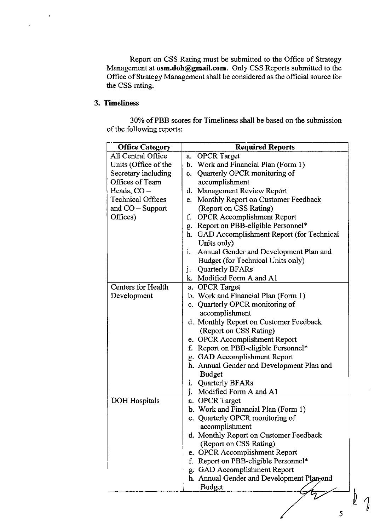Report on CSS Rating must be submitted to the Office of Strategy Management at osm.doh@gmail.com. Only CSS Reports submitted to the Office of Strategy Management shall be considered as the official source for the CSS rating.

## 3. Timeliness

 $\ddot{\phantom{0}}$ 

 $\ddot{\phantom{0}}$ 

30% of PBB scores for Timeliness shall be based on the submission of the following reports:

| <b>Office Category</b>    | <b>Required Reports</b>                        |
|---------------------------|------------------------------------------------|
| All Central Office        | <b>OPCR</b> Target<br>a.                       |
| Units (Office of the      | Work and Financial Plan (Form 1)<br>b.         |
| Secretary including       | Quarterly OPCR monitoring of<br>c.             |
| Offices of Team           | accomplishment                                 |
| Heads, $CO -$             | Management Review Report<br>d.                 |
| <b>Technical Offices</b>  | Monthly Report on Customer Feedback<br>e.      |
| and $CO - Support$        | (Report on CSS Rating)                         |
| Offices)                  | <b>OPCR</b> Accomplishment Report<br>f.        |
|                           | Report on PBB-eligible Personnel*<br>g.        |
|                           | GAD Accomplishment Report (for Technical<br>h. |
|                           | Units only)                                    |
|                           | i.<br>Annual Gender and Development Plan and   |
|                           | Budget (for Technical Units only)              |
|                           | <b>Quarterly BFARs</b><br>j.                   |
|                           | k. Modified Form A and A1                      |
| <b>Centers for Health</b> | a. OPCR Target                                 |
| Development               | b. Work and Financial Plan (Form 1)            |
|                           | c. Quarterly OPCR monitoring of                |
|                           | accomplishment                                 |
|                           | d. Monthly Report on Customer Feedback         |
|                           | (Report on CSS Rating)                         |
|                           | e. OPCR Accomplishment Report                  |
|                           | Report on PBB-eligible Personnel*<br>f.        |
|                           | g. GAD Accomplishment Report                   |
|                           | h. Annual Gender and Development Plan and      |
|                           | <b>Budget</b>                                  |
|                           | i. Quarterly BFARs                             |
|                           | i.<br>Modified Form A and A1                   |
| DOH Hospitals             | a. OPCR Target                                 |
|                           | b. Work and Financial Plan (Form 1)            |
|                           | Quarterly OPCR monitoring of<br>$\mathbf{c}$ . |
|                           | accomplishment                                 |
|                           | d. Monthly Report on Customer Feedback         |
|                           | (Report on CSS Rating)                         |
|                           | e. OPCR Accomplishment Report                  |
|                           | Report on PBB-eligible Personnel*<br>f.        |
|                           | g. GAD Accomplishment Report                   |
|                           | h. Annual Gender and Development Plan-and      |
|                           | Budget                                         |
|                           |                                                |
|                           |                                                |

 $\mathcal{L}$ 

5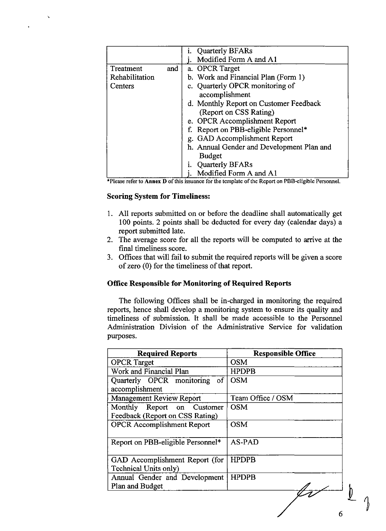|                |     | Quarterly BFARs                           |
|----------------|-----|-------------------------------------------|
|                |     | Modified Form A and A1                    |
| Treatment      | and | a. OPCR Target                            |
| Rehabilitation |     | b. Work and Financial Plan (Form 1)       |
| Centers        |     | c. Quarterly OPCR monitoring of           |
|                |     | accomplishment                            |
|                |     | d. Monthly Report on Customer Feedback    |
|                |     | (Report on CSS Rating)                    |
|                |     | e. OPCR Accomplishment Report             |
|                |     | Report on PBB-eligible Personnel*         |
|                |     | g. GAD Accomplishment Report              |
|                |     | h. Annual Gender and Development Plan and |
|                |     | <b>Budget</b>                             |
|                |     | Quarterly BFARs                           |
|                |     | Modified Form A and A1                    |

## Scoring System for Timeliness:

- 1. All reports submitted on or before the deadline shall automatically get 100 points. 2 points shall be deducted for every day (calendar days) a report submitted late.
- 2. The average score for all the reports will be computed to arrive at the final timeliness score.
- 3. Offices that will fail to submit the required reports will be given a score of zero (0) for the timeliness of that report.

## Office Responsible for Monitoring of Required Reports

| $\mathbf{r}$<br>i. Quarterly BFARs<br>$\mathbf{i}$ .<br>Modified Form A and A1<br>a. OPCR Target<br>Treatment<br>and<br>b. Work and Financial Plan (Form 1)<br>Rehabilitation<br>c. Quarterly OPCR monitoring of<br>Centers<br>accomplishment<br>d. Monthly Report on Customer Feedback<br>(Report on CSS Rating)<br>e. OPCR Accomplishment Report<br>f. Report on PBB-eligible Personnel*<br>g. GAD Accomplishment Report<br>h. Annual Gender and Development Plan and<br><b>Budget</b><br>Quarterly BFARs<br>$\mathbf{i}$ .<br>Modified Form A and A1<br>*Please refer to Annex D of this issuance for the template of the Report on PBB-eligible Personnel.                                                                                                       |
|----------------------------------------------------------------------------------------------------------------------------------------------------------------------------------------------------------------------------------------------------------------------------------------------------------------------------------------------------------------------------------------------------------------------------------------------------------------------------------------------------------------------------------------------------------------------------------------------------------------------------------------------------------------------------------------------------------------------------------------------------------------------|
|                                                                                                                                                                                                                                                                                                                                                                                                                                                                                                                                                                                                                                                                                                                                                                      |
| <b>Scoring System for Timeliness:</b><br>1. All reports submitted on or before the deadline shall automatically get<br>100 points. 2 points shall be deducted for every day (calendar days) a<br>report submitted late.<br>2. The average score for all the reports will be computed to arrive at the<br>final timeliness score.<br>3. Offices that will fail to submit the required reports will be given a score<br>of zero (0) for the timeliness of that report.<br><b>Office Responsible for Monitoring of Required Reports</b><br>The following Offices shall be in-charged in monitoring the required<br>reports, hence shall develop a monitoring system to ensure its quality and<br>timeliness of submission. It shall be made accessible to the Personnel |
| Administration Division of the Administrative Service for validation<br>purposes.<br><b>Responsible Office</b><br><b>Required Reports</b><br><b>OPCR</b> Target<br><b>OSM</b><br>Work and Financial Plan<br><b>HPDPB</b><br>Quarterly OPCR monitoring of<br><b>OSM</b><br>accomplishment<br>Management Review Report<br>Team Office / OSM<br>Monthly Report on Customer<br><b>OSM</b><br>Feedback (Report on CSS Rating)<br><b>OPCR</b> Accomplishment Report<br><b>OSM</b>                                                                                                                                                                                                                                                                                          |
| Report on PBB-eligible Personnel*<br>AS-PAD<br><b>HPDPB</b><br>GAD Accomplishment Report (for<br>Technical Units only)<br>Annual Gender and Development<br><b>HPDPB</b><br>Plan and Budget                                                                                                                                                                                                                                                                                                                                                                                                                                                                                                                                                                           |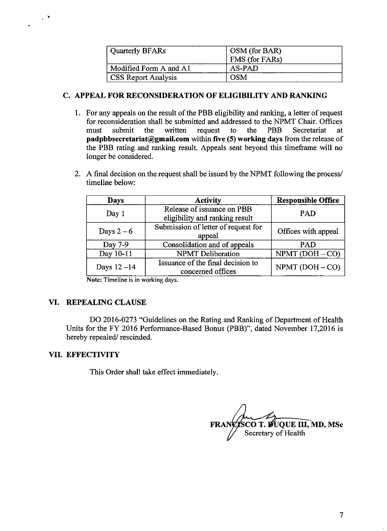| <b>Quarterly BFARs</b>     | OSM (for BAR)<br>FMS (for FARs) |
|----------------------------|---------------------------------|
| Modified Form A and A1     | AS-PAD                          |
| <b>CSS Report Analysis</b> | OSM                             |

## C. APPEAL FOR RECONSIDERATION OF ELIGIBILITY AND RANKING

- 1. For any appeals on the result of the PBB eligibility and ranking, a letter of request<br>for reconsideration shall be submitted and addressed to the NPMT Chair. Offices for reconsideration shall be submitted and addressed to the NPMT Chair. Offices must submit the written request to the PBB Secretariat at padpbbsecretariat@gmail.com within five (5) working days from the release of the PBB rating and ranking result. Appeals sent beyond this timeframe will no longer be considered.
- 2. A final decision on the request shall be issued by the NPMT following the process/ timeline below:

| Days         | <b>Activity</b>                     | <b>Responsible Office</b> |
|--------------|-------------------------------------|---------------------------|
| Day 1        | Release of issuance on PBB          | <b>PAD</b>                |
|              | eligibility and ranking result      |                           |
| Days $2-6$   | Submission of letter of request for | Offices with appeal       |
|              | appeal                              |                           |
| Day 7-9      | Consolidation and of appeals        | <b>PAD</b>                |
| Day 10-11    | <b>NPMT</b> Deliberation            | $NPMT (DOH - CO)$         |
| Days $12-14$ | Issuance of the final decision to   | NPMT (DOH-CO)             |
|              | concerned offices                   |                           |

Note: Timeline is in working days.

## VI. REPEALING CLAUSE

DO 2016-0273 "Guidelines on the Rating and Ranking of Department of Health Units for the FY 2016 Performance-Based Bonus (PBB)", dated November 17,2016 is hereby repealed/ rescinded.

## VIL. EFFECTIVITY

 $\sim$   $^{\circ}$ 

This Order shall take effect immediately.

FRANCISCO T. FUQUE III, MD, MSc Secretary of Health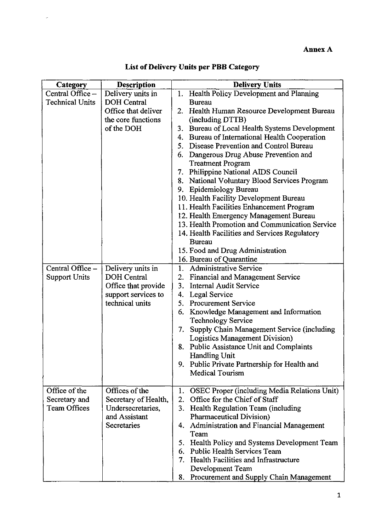| <b>Technical Units</b><br><b>DOH</b> Central<br><b>Bureau</b><br>Office that deliver<br>the core functions<br>(including DTTB)<br>of the DOH<br>4. Bureau of International Health Cooperation<br>5. Disease Prevention and Control Bureau<br>6. Dangerous Drug Abuse Prevention and<br><b>Treatment Program</b><br>7. Philippine National AIDS Council<br>8. National Voluntary Blood Services Program<br>9. Epidemiology Bureau<br>10. Health Facility Development Bureau<br>11. Health Facilities Enhancement Program<br>12. Health Emergency Management Bureau<br>14. Health Facilities and Services Regulatory<br><b>Bureau</b><br>15. Food and Drug Administration<br>16. Bureau of Quarantine<br>Delivery units in<br>1. Administrative Service<br>2. Financial and Management Service<br>DOH Central<br>Office that provide<br>3. Internal Audit Service<br>support services to<br>4. Legal Service<br>technical units<br>5. Procurement Service<br>6. Knowledge Management and Information<br><b>Technology Service</b><br>Logistics Management Division)<br>8. Public Assistance Unit and Complaints<br>Handling Unit<br>9. Public Private Partnership for Health and<br>Medical Tourism<br>Offices of the<br>Secretary of Health,<br>2. Office for the Chief of Staff | Category<br>Central Office -             | <b>Description</b><br>Delivery units in | Annex A<br>List of Delivery Units per PBB Category<br><b>Delivery Units</b><br>1. Health Policy Development and Planning                       |
|---------------------------------------------------------------------------------------------------------------------------------------------------------------------------------------------------------------------------------------------------------------------------------------------------------------------------------------------------------------------------------------------------------------------------------------------------------------------------------------------------------------------------------------------------------------------------------------------------------------------------------------------------------------------------------------------------------------------------------------------------------------------------------------------------------------------------------------------------------------------------------------------------------------------------------------------------------------------------------------------------------------------------------------------------------------------------------------------------------------------------------------------------------------------------------------------------------------------------------------------------------------------------------|------------------------------------------|-----------------------------------------|------------------------------------------------------------------------------------------------------------------------------------------------|
|                                                                                                                                                                                                                                                                                                                                                                                                                                                                                                                                                                                                                                                                                                                                                                                                                                                                                                                                                                                                                                                                                                                                                                                                                                                                                 |                                          |                                         | 2. Health Human Resource Development Bureau<br>3. Bureau of Local Health Systems Development<br>13. Health Promotion and Communication Service |
| Office of the<br>Secretary and<br><b>Team Offices</b>                                                                                                                                                                                                                                                                                                                                                                                                                                                                                                                                                                                                                                                                                                                                                                                                                                                                                                                                                                                                                                                                                                                                                                                                                           | Central Office -<br><b>Support Units</b> |                                         | 7. Supply Chain Management Service (including                                                                                                  |
| and Assistant<br>Pharmaceutical Division)<br>4. Administration and Financial Management<br>Secretaries<br>Team<br>6. Public Health Services Team<br>7. Health Facilities and Infrastructure<br>Development Team                                                                                                                                                                                                                                                                                                                                                                                                                                                                                                                                                                                                                                                                                                                                                                                                                                                                                                                                                                                                                                                                 |                                          | Undersecretaries,                       | 1. OSEC Proper (including Media Relations Unit)<br>3. Health Regulation Team (including<br>5. Health Policy and Systems Development Team       |

List of Delivery Units per PBB Category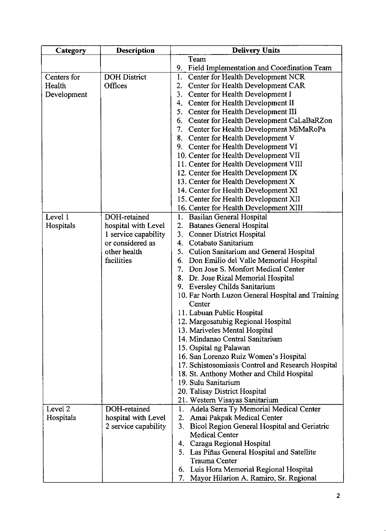| Team<br><b>DOH</b> District<br>Center for Health Development NCR<br>Centers for<br>1.<br>Center for Health Development CAR<br>Health<br>Offices<br>2.<br>3. Center for Health Development I<br>Development<br>4. Center for Health Development II<br>5. Center for Health Development III<br>6.<br>7. Center for Health Development MiMaRoPa<br>8. Center for Health Development V<br>9. Center for Health Development VI<br>10. Center for Health Development VII<br>11. Center for Health Development VIII<br>12. Center for Health Development IX<br>13. Center for Health Development X<br>14. Center for Health Development XI<br>15. Center for Health Development XII<br>16. Center for Health Development XIII<br>DOH-retained<br>1. Basilan General Hospital<br><b>Batanes General Hospital</b><br>hospital with Level<br>2.<br>3. Conner District Hospital<br>1 service capability<br>or considered as<br>4. Cotabato Sanitarium<br>5. Culion Sanitarium and General Hospital<br>other health<br>facilities<br>6. Don Emilio del Valle Memorial Hospital<br>7. Don Jose S. Monfort Medical Center<br>8. Dr. Jose Rizal Memorial Hospital<br>9. Eversley Childs Sanitarium<br>Center<br>11. Labuan Public Hospital<br>12. Margosatubig Regional Hospital<br>13. Mariveles Mental Hospital<br>14. Mindanao Central Sanitarium<br>15. Ospital ng Palawan<br>16. San Lorenzo Ruiz Women's Hospital<br>18. St. Anthony Mother and Child Hospital<br>19. Sulu Sanitarium<br>20. Talisay District Hospital | Category | <b>Description</b> | <b>Delivery Units</b>                         |
|---------------------------------------------------------------------------------------------------------------------------------------------------------------------------------------------------------------------------------------------------------------------------------------------------------------------------------------------------------------------------------------------------------------------------------------------------------------------------------------------------------------------------------------------------------------------------------------------------------------------------------------------------------------------------------------------------------------------------------------------------------------------------------------------------------------------------------------------------------------------------------------------------------------------------------------------------------------------------------------------------------------------------------------------------------------------------------------------------------------------------------------------------------------------------------------------------------------------------------------------------------------------------------------------------------------------------------------------------------------------------------------------------------------------------------------------------------------------------------------------------------------|----------|--------------------|-----------------------------------------------|
|                                                                                                                                                                                                                                                                                                                                                                                                                                                                                                                                                                                                                                                                                                                                                                                                                                                                                                                                                                                                                                                                                                                                                                                                                                                                                                                                                                                                                                                                                                               |          |                    | 9. Field Implementation and Coordination Team |
| 10. Far North Luzon General Hospital and Training<br>17. Schistosomiasis Control and Research Hospital                                                                                                                                                                                                                                                                                                                                                                                                                                                                                                                                                                                                                                                                                                                                                                                                                                                                                                                                                                                                                                                                                                                                                                                                                                                                                                                                                                                                        |          |                    | Center for Health Development CaLaBaRZon      |
|                                                                                                                                                                                                                                                                                                                                                                                                                                                                                                                                                                                                                                                                                                                                                                                                                                                                                                                                                                                                                                                                                                                                                                                                                                                                                                                                                                                                                                                                                                               |          |                    |                                               |
|                                                                                                                                                                                                                                                                                                                                                                                                                                                                                                                                                                                                                                                                                                                                                                                                                                                                                                                                                                                                                                                                                                                                                                                                                                                                                                                                                                                                                                                                                                               |          |                    |                                               |
| Hospitals                                                                                                                                                                                                                                                                                                                                                                                                                                                                                                                                                                                                                                                                                                                                                                                                                                                                                                                                                                                                                                                                                                                                                                                                                                                                                                                                                                                                                                                                                                     | Level 1  |                    |                                               |
|                                                                                                                                                                                                                                                                                                                                                                                                                                                                                                                                                                                                                                                                                                                                                                                                                                                                                                                                                                                                                                                                                                                                                                                                                                                                                                                                                                                                                                                                                                               |          |                    |                                               |
|                                                                                                                                                                                                                                                                                                                                                                                                                                                                                                                                                                                                                                                                                                                                                                                                                                                                                                                                                                                                                                                                                                                                                                                                                                                                                                                                                                                                                                                                                                               |          |                    |                                               |
|                                                                                                                                                                                                                                                                                                                                                                                                                                                                                                                                                                                                                                                                                                                                                                                                                                                                                                                                                                                                                                                                                                                                                                                                                                                                                                                                                                                                                                                                                                               |          |                    |                                               |
|                                                                                                                                                                                                                                                                                                                                                                                                                                                                                                                                                                                                                                                                                                                                                                                                                                                                                                                                                                                                                                                                                                                                                                                                                                                                                                                                                                                                                                                                                                               |          |                    |                                               |
|                                                                                                                                                                                                                                                                                                                                                                                                                                                                                                                                                                                                                                                                                                                                                                                                                                                                                                                                                                                                                                                                                                                                                                                                                                                                                                                                                                                                                                                                                                               |          |                    |                                               |
|                                                                                                                                                                                                                                                                                                                                                                                                                                                                                                                                                                                                                                                                                                                                                                                                                                                                                                                                                                                                                                                                                                                                                                                                                                                                                                                                                                                                                                                                                                               |          |                    | 21. Western Visayas Sanitarium                |
| Level 2<br>DOH-retained<br>1. Adela Serra Ty Memorial Medical Center<br>Hospitals<br>hospital with Level<br>2. Amai Pakpak Medical Center<br>3. Bicol Region General Hospital and Geriatric<br>2 service capability<br><b>Medical Center</b>                                                                                                                                                                                                                                                                                                                                                                                                                                                                                                                                                                                                                                                                                                                                                                                                                                                                                                                                                                                                                                                                                                                                                                                                                                                                  |          |                    |                                               |
| 4. Caraga Regional Hospital<br>5. Las Piñas General Hospital and Satellite<br><b>Trauma Center</b>                                                                                                                                                                                                                                                                                                                                                                                                                                                                                                                                                                                                                                                                                                                                                                                                                                                                                                                                                                                                                                                                                                                                                                                                                                                                                                                                                                                                            |          |                    |                                               |
| 6. Luis Hora Memorial Regional Hospital<br>7. Mayor Hilarion A. Ramiro, Sr. Regional                                                                                                                                                                                                                                                                                                                                                                                                                                                                                                                                                                                                                                                                                                                                                                                                                                                                                                                                                                                                                                                                                                                                                                                                                                                                                                                                                                                                                          |          |                    |                                               |
|                                                                                                                                                                                                                                                                                                                                                                                                                                                                                                                                                                                                                                                                                                                                                                                                                                                                                                                                                                                                                                                                                                                                                                                                                                                                                                                                                                                                                                                                                                               |          |                    |                                               |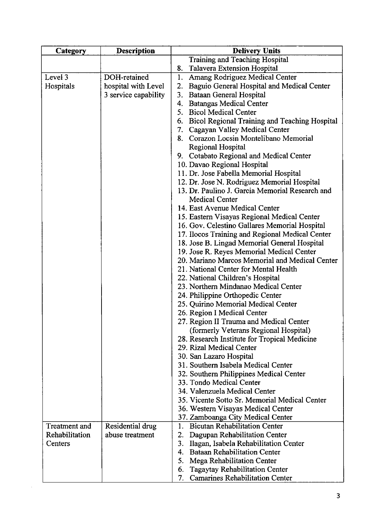| Category       | <b>Description</b>   | <b>Delivery Units</b>                                                                           |
|----------------|----------------------|-------------------------------------------------------------------------------------------------|
|                |                      | Training and Teaching Hospital                                                                  |
|                |                      | Talavera Extension Hospital<br>8.                                                               |
| Level 3        | DOH-retained         | Amang Rodriguez Medical Center<br>1.                                                            |
| Hospitals      | hospital with Level  | 2.<br>Baguio General Hospital and Medical Center                                                |
|                | 3 service capability | 3. Bataan General Hospital                                                                      |
|                |                      | 4. Batangas Medical Center                                                                      |
|                |                      | 5. Bicol Medical Center                                                                         |
|                |                      | 6. Bicol Regional Training and Teaching Hospital                                                |
|                |                      | 7. Cagayan Valley Medical Center                                                                |
|                |                      | 8. Corazon Locsin Montelibano Memorial                                                          |
|                |                      | Regional Hospital                                                                               |
|                |                      | 9. Cotabato Regional and Medical Center                                                         |
|                |                      | 10. Davao Regional Hospital                                                                     |
|                |                      | 11. Dr. Jose Fabella Memorial Hospital                                                          |
|                |                      | 12. Dr. Jose N. Rodriguez Memorial Hospital                                                     |
|                |                      | 13. Dr. Paulino J. Garcia Memorial Research and                                                 |
|                |                      | Medical Center                                                                                  |
|                |                      | 14. East Avenue Medical Center                                                                  |
|                |                      | 15. Eastern Visayas Regional Medical Center                                                     |
|                |                      | 16. Gov. Celestino Gallares Memorial Hospital                                                   |
|                |                      | 17. Ilocos Training and Regional Medical Center<br>18. Jose B. Lingad Memorial General Hospital |
|                |                      | 19. Jose R. Reyes Memorial Medical Center                                                       |
|                |                      | 20. Mariano Marcos Memorial and Medical Center                                                  |
|                |                      | 21. National Center for Mental Health                                                           |
|                |                      | 22. National Children's Hospital                                                                |
|                |                      | 23. Northern Mindanao Medical Center                                                            |
|                |                      | 24. Philippine Orthopedic Center                                                                |
|                |                      | 25. Quirino Memorial Medical Center                                                             |
|                |                      | 26. Region I Medical Center                                                                     |
|                |                      | 27. Region II Trauma and Medical Center                                                         |
|                |                      | (formerly Veterans Regional Hospital)                                                           |
|                |                      | 28. Research Institute for Tropical Medicine                                                    |
|                |                      | 29. Rizal Medical Center                                                                        |
|                |                      | 30. San Lazaro Hospital                                                                         |
|                |                      | 31. Southern Isabela Medical Center                                                             |
|                |                      | 32. Southern Philippines Medical Center                                                         |
|                |                      | 33. Tondo Medical Center                                                                        |
|                |                      | 34. Valenzuela Medical Center                                                                   |
|                |                      | 35. Vicente Sotto Sr. Memorial Medical Center                                                   |
|                |                      | 36. Western Visayas Medical Center                                                              |
|                |                      | 37. Zamboanga City Medical Center                                                               |
| Treatment and  | Residential drug     | <b>Bicutan Rehabilitation Center</b><br>1.                                                      |
| Rehabilitation | abuse treatment      | 2.<br>Dagupan Rehabilitation Center                                                             |
| Centers        |                      | 3. Ilagan, Isabela Rehabilitation Center                                                        |
|                |                      | 4. Bataan Rehabilitation Center                                                                 |
|                |                      | 5. Mega Rehabilitation Center                                                                   |
|                |                      | Tagaytay Rehabilitation Center<br>6.                                                            |
|                |                      | 7.<br><b>Camarines Rehabilitation Center</b>                                                    |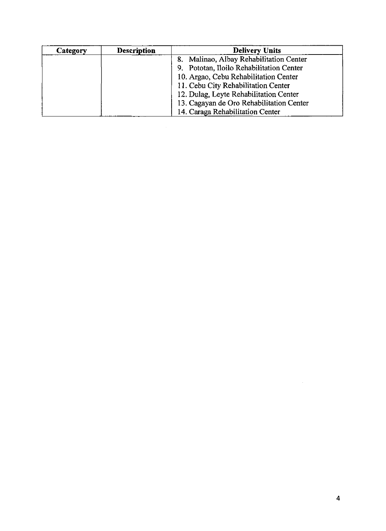| Category | <b>Description</b> | <b>Delivery Units</b>                    |
|----------|--------------------|------------------------------------------|
|          |                    | Malinao, Albay Rehabilitation Center     |
|          |                    | 9. Pototan, Iloilo Rehabilitation Center |
|          |                    | 10. Argao, Cebu Rehabilitation Center    |
|          |                    | 11. Cebu City Rehabilitation Center      |
|          |                    | 12. Dulag, Leyte Rehabilitation Center   |
|          |                    | 13. Cagayan de Oro Rehabilitation Center |
|          |                    | 14. Caraga Rehabilitation Center         |

 $\label{eq:2} \frac{1}{\sqrt{2}}\left(\frac{1}{\sqrt{2}}\right)^{2} \left(\frac{1}{\sqrt{2}}\right)^{2} \left(\frac{1}{\sqrt{2}}\right)^{2} \left(\frac{1}{\sqrt{2}}\right)^{2} \left(\frac{1}{\sqrt{2}}\right)^{2} \left(\frac{1}{\sqrt{2}}\right)^{2} \left(\frac{1}{\sqrt{2}}\right)^{2} \left(\frac{1}{\sqrt{2}}\right)^{2} \left(\frac{1}{\sqrt{2}}\right)^{2} \left(\frac{1}{\sqrt{2}}\right)^{2} \left(\frac{1}{\sqrt{2}}\right)^{2} \left(\frac{$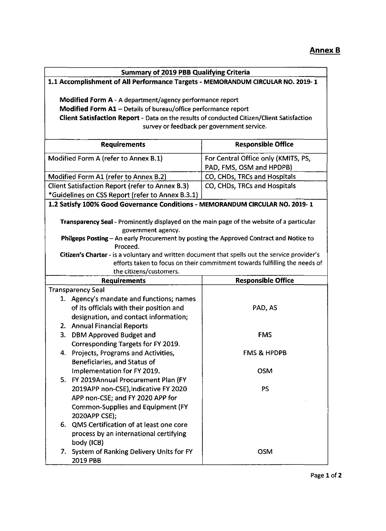| <b>Summary of 2019 PBB Qualifying Criteria</b>                                                 |                                                                            |  |  |  |  |
|------------------------------------------------------------------------------------------------|----------------------------------------------------------------------------|--|--|--|--|
| 1.1 Accomplishment of All Performance Targets - MEMORANDUM CIRCULAR NO. 2019-1                 |                                                                            |  |  |  |  |
|                                                                                                |                                                                            |  |  |  |  |
| Modified Form A - A department/agency performance report                                       |                                                                            |  |  |  |  |
| Modified Form A1 - Details of bureau/office performance report                                 |                                                                            |  |  |  |  |
| Client Satisfaction Report - Data on the results of conducted Citizen/Client Satisfaction      |                                                                            |  |  |  |  |
|                                                                                                | survey or feedback per government service.                                 |  |  |  |  |
|                                                                                                |                                                                            |  |  |  |  |
| <b>Requirements</b>                                                                            | <b>Responsible Office</b>                                                  |  |  |  |  |
| Modified Form A (refer to Annex B.1)                                                           | For Central Office only (KMITS, PS,                                        |  |  |  |  |
|                                                                                                | PAD, FMS, OSM and HPDPB)                                                   |  |  |  |  |
| Modified Form A1 (refer to Annex B.2)                                                          | CO, CHDs, TRCs and Hospitals                                               |  |  |  |  |
| Client Satisfaction Report (refer to Annex B.3)                                                | CO, CHDs, TRCs and Hospitals                                               |  |  |  |  |
| *Guidelines on CSS Report (refer to Annex B.3.1)                                               |                                                                            |  |  |  |  |
| 1.2 Satisfy 100% Good Governance Conditions - MEMORANDUM CIRCULAR NO. 2019-1                   |                                                                            |  |  |  |  |
|                                                                                                |                                                                            |  |  |  |  |
| Transparency Seal - Prominently displayed on the main page of the website of a particular      |                                                                            |  |  |  |  |
| government agency.                                                                             |                                                                            |  |  |  |  |
| Philgeps Posting - An early Procurement by posting the Approved Contract and Notice to         |                                                                            |  |  |  |  |
| Proceed.                                                                                       |                                                                            |  |  |  |  |
| Citizen's Charter - is a voluntary and written document that spells out the service provider's |                                                                            |  |  |  |  |
|                                                                                                | efforts taken to focus on their commitment towards fulfilling the needs of |  |  |  |  |
| the citizens/customers.                                                                        |                                                                            |  |  |  |  |
| <b>Requirements</b>                                                                            | <b>Responsible Office</b>                                                  |  |  |  |  |
| <b>Transparency Seal</b>                                                                       |                                                                            |  |  |  |  |
| 1. Agency's mandate and functions; names                                                       |                                                                            |  |  |  |  |
| of its officials with their position and                                                       | PAD, AS                                                                    |  |  |  |  |
| designation, and contact information;                                                          |                                                                            |  |  |  |  |
| 2. Annual Financial Reports                                                                    |                                                                            |  |  |  |  |
| 3. DBM Approved Budget and                                                                     | <b>FMS</b>                                                                 |  |  |  |  |
| Corresponding Targets for FY 2019.                                                             |                                                                            |  |  |  |  |
| 4. Projects, Programs and Activities,                                                          | <b>FMS &amp; HPDPB</b>                                                     |  |  |  |  |
| Beneficiaries, and Status of                                                                   |                                                                            |  |  |  |  |
| Implementation for FY 2019.                                                                    | <b>OSM</b>                                                                 |  |  |  |  |
| 5. FY 2019Annual Procurement Plan (FY                                                          |                                                                            |  |  |  |  |
| 2019APP non-CSE), Indicative FY 2020                                                           | <b>PS</b>                                                                  |  |  |  |  |
| APP non-CSE; and FY 2020 APP for                                                               |                                                                            |  |  |  |  |
| Common-Supplies and Equipment (FY                                                              |                                                                            |  |  |  |  |
| 2020APP CSE);                                                                                  |                                                                            |  |  |  |  |
| 6. QMS Certification of at least one core                                                      |                                                                            |  |  |  |  |
| process by an international certifying                                                         |                                                                            |  |  |  |  |
| body (ICB)                                                                                     |                                                                            |  |  |  |  |
| 7. System of Ranking Delivery Units for FY                                                     | <b>OSM</b>                                                                 |  |  |  |  |
| 2019 PBB                                                                                       |                                                                            |  |  |  |  |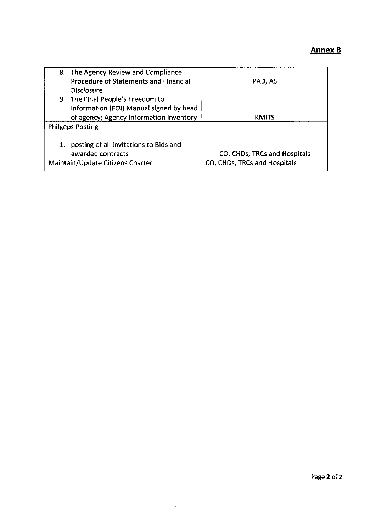## Annex <sup>B</sup>

| 8. The Agency Review and Compliance          |                              |
|----------------------------------------------|------------------------------|
| <b>Procedure of Statements and Financial</b> | PAD, AS                      |
| Disclosure                                   |                              |
| 9. The Final People's Freedom to             |                              |
| Information (FOI) Manual signed by head      |                              |
| of agency; Agency Information Inventory      | KMITS                        |
| <b>Philgeps Posting</b>                      |                              |
|                                              |                              |
| posting of all Invitations to Bids and       |                              |
| awarded contracts                            | CO, CHDs, TRCs and Hospitals |
| Maintain/Update Citizens Charter             | CO, CHDs, TRCs and Hospitals |

 $\mathcal{A}^{\mathcal{A}}$ 

 $\mathbf{r}$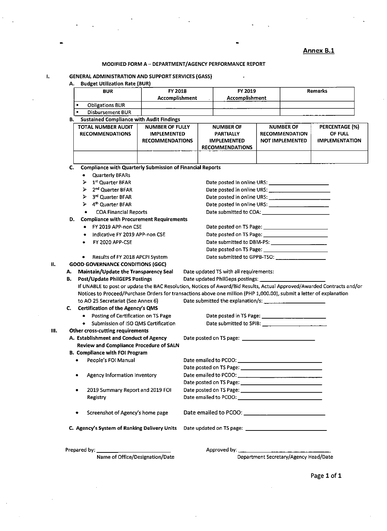|    |    |                                                                                                                        |                                                                        |  |                                                                               |                                                                     | <b>Annex B.1</b>                                          |  |
|----|----|------------------------------------------------------------------------------------------------------------------------|------------------------------------------------------------------------|--|-------------------------------------------------------------------------------|---------------------------------------------------------------------|-----------------------------------------------------------|--|
|    |    |                                                                                                                        | MODIFIED FORM A - DEPARTMENT/AGENCY PERFORMANCE REPORT                 |  |                                                                               |                                                                     |                                                           |  |
| 1. | А. | <b>GENERAL ADMINISTRATION AND SUPPORT SERVICES (GASS)</b><br><b>Budget Utilization Rate (BUR)</b>                      |                                                                        |  |                                                                               |                                                                     |                                                           |  |
|    |    | <b>BUR</b>                                                                                                             | FY 2018                                                                |  | FY 2019                                                                       |                                                                     | <b>Remarks</b>                                            |  |
|    |    |                                                                                                                        | <b>Accomplishment</b>                                                  |  | Accomplishment                                                                |                                                                     |                                                           |  |
|    |    | <b>Obligations BUR</b><br>$\blacksquare$                                                                               |                                                                        |  |                                                                               |                                                                     |                                                           |  |
|    |    | $\blacksquare$<br><b>Disbursement BUR</b>                                                                              |                                                                        |  |                                                                               |                                                                     |                                                           |  |
|    |    | <b>B.</b> Sustained Compliance with Audit Findings                                                                     |                                                                        |  |                                                                               |                                                                     |                                                           |  |
|    |    | <b>TOTAL NUMBER AUDIT</b><br><b>RECOMMENDATIONS</b>                                                                    | <b>NUMBER OF FULLY</b><br><b>IMPLEMENTED</b><br><b>RECOMMENDATIONS</b> |  | <b>NUMBER OF</b><br>PARTIALLY<br><b>IMPLEMENTED</b><br><b>RECOMMENDATIONS</b> | <b>NUMBER OF</b><br><b>RECOMMENDATION</b><br><b>NOT IMPLEMENTED</b> | <b>PERCENTAGE (%)</b><br>OF FULL<br><b>IMPLEMENTATION</b> |  |
|    |    |                                                                                                                        |                                                                        |  |                                                                               |                                                                     |                                                           |  |
|    | C. | <b>Compliance with Quarterly Submission of Financial Reports</b>                                                       |                                                                        |  |                                                                               |                                                                     |                                                           |  |
|    |    | <b>Quarterly BFARs</b><br>$\bullet$                                                                                    |                                                                        |  |                                                                               |                                                                     |                                                           |  |
|    |    | 1 <sup>st</sup> Quarter BFAR<br>$\blacktriangleright$                                                                  |                                                                        |  |                                                                               |                                                                     |                                                           |  |
|    |    | 2 <sup>nd</sup> Quarter BFAR<br>⋗                                                                                      |                                                                        |  |                                                                               |                                                                     |                                                           |  |
|    |    | $\triangleright$ 3 <sup>rd</sup> Quarter BFAR                                                                          |                                                                        |  |                                                                               |                                                                     |                                                           |  |
|    |    | $\triangleright$ 4 <sup>th</sup> Quarter BFAR                                                                          |                                                                        |  |                                                                               |                                                                     |                                                           |  |
|    |    | <b>COA Financial Reports</b><br>٠                                                                                      |                                                                        |  |                                                                               |                                                                     |                                                           |  |
|    | D. | <b>Compliance with Procurement Requirements</b>                                                                        |                                                                        |  |                                                                               |                                                                     |                                                           |  |
|    |    | • FY 2019 APP-non CSE                                                                                                  |                                                                        |  |                                                                               |                                                                     |                                                           |  |
|    |    | Indicative FY 2019 APP-non CSE                                                                                         |                                                                        |  |                                                                               |                                                                     |                                                           |  |
|    |    | FY 2020 APP-CSE                                                                                                        |                                                                        |  |                                                                               |                                                                     |                                                           |  |
|    |    |                                                                                                                        |                                                                        |  |                                                                               |                                                                     |                                                           |  |
|    |    | Results of FY 2018 APCPI System<br>$\bullet$                                                                           |                                                                        |  |                                                                               |                                                                     |                                                           |  |
| н. |    | <b>GOOD GOVERNANCE CONDITIONS (GGC)</b>                                                                                |                                                                        |  |                                                                               |                                                                     |                                                           |  |
|    | А. | Maintain/Update the Transparency Seal                                                                                  |                                                                        |  | Date updated TS with all requirements:                                        |                                                                     |                                                           |  |
|    | В. | <b>Post/Update PhilGEPS Postings</b>                                                                                   |                                                                        |  | Date updated PhilGeps postings:                                               |                                                                     |                                                           |  |
|    |    | If UNABLE to post or update the BAC Resolution, Notices of Award/Bid Results, Actual Approved/Awarded Contracts and/or |                                                                        |  |                                                                               |                                                                     |                                                           |  |
|    |    | Notices to Proceed/Purchase Orders for transactions above one million (PHP 1,000.00), submit a letter of explanation   |                                                                        |  |                                                                               |                                                                     |                                                           |  |
|    |    | to AO 25 Secretariat (See Annex 6)                                                                                     |                                                                        |  |                                                                               |                                                                     |                                                           |  |
|    |    | C. Certification of the Agency's QMS                                                                                   |                                                                        |  |                                                                               |                                                                     |                                                           |  |
|    |    | • Posting of Certification on TS Page                                                                                  |                                                                        |  |                                                                               |                                                                     |                                                           |  |
|    |    | Submission of ISO QMS Certification                                                                                    |                                                                        |  |                                                                               |                                                                     |                                                           |  |
| Ш. |    | Other cross-cutting requirements                                                                                       |                                                                        |  |                                                                               |                                                                     |                                                           |  |
|    |    | A. Establishment and Conduct of Agency                                                                                 |                                                                        |  | Date posted on TS page: the control of the posted on TS page:                 |                                                                     |                                                           |  |
|    |    | <b>Review and Compliance Procedure of SALN</b>                                                                         |                                                                        |  |                                                                               |                                                                     |                                                           |  |
|    |    | B. Compliance with FOI Program                                                                                         |                                                                        |  |                                                                               |                                                                     |                                                           |  |
|    |    | People's FOI Manual<br>۰                                                                                               |                                                                        |  |                                                                               |                                                                     |                                                           |  |
|    |    |                                                                                                                        |                                                                        |  |                                                                               |                                                                     |                                                           |  |
|    |    | Agency Information Inventory<br>٠                                                                                      |                                                                        |  |                                                                               |                                                                     |                                                           |  |
|    |    |                                                                                                                        |                                                                        |  |                                                                               |                                                                     |                                                           |  |
|    |    | 2019 Summary Report and 2019 FOI<br>٠                                                                                  |                                                                        |  |                                                                               |                                                                     |                                                           |  |
|    |    | Registry                                                                                                               |                                                                        |  |                                                                               |                                                                     |                                                           |  |
|    |    | Screenshot of Agency's home page<br>۰                                                                                  |                                                                        |  |                                                                               |                                                                     |                                                           |  |
|    |    | C. Agency's System of Ranking Delivery Units                                                                           |                                                                        |  |                                                                               |                                                                     |                                                           |  |

Approved by: \_

Department Secretary/Agency Head/Date

Page 1 of 1

Prepared by:

Name of Office/Designation/Date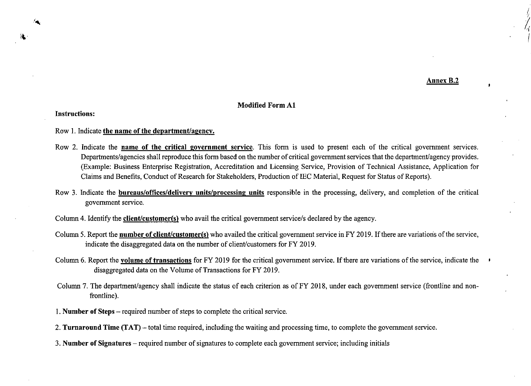Annex B.2

### Modified Form Al

Instructions:

#### Row 1. Indicate the name of the department/agency.

- Row 2. Indicate the mame of the critical government service. This form is used to present each of the critical government services. Departments/agencies shall reproduce this form based on the number of critical government services that the department/agency provides. (Example: Business Enterprise Registration, Accreditation and Licensing Service, Provision of Technical Assistance, Application for Claims and Benefits, Conduct of Research for Stakeholders, Production of IEC Material, Request for Status of Reports).
- Row 3. Indicate the bureaus/offices/delivery units/processing units responsible in the processing, delivery, and completion of the critical government service.

Column 4. Identify the client/customer(s) who avail the critical government service/s declared by the agency.

- Column 5. Report the **number of client/customer(s)** who availed the critical government service in FY 2019. If there are variations of the service, indicate the disaggregated data on the number of client/customers for FY 2019.
- Column 6. Report the volume of transactions for FY 2019 for the critical government service. If there are variations of the service, indicate the disaggregated data on the Volume of Transactions for FY 2019.
- Column 7. The department/agency shall indicate the status of each criterion as of FY 2018, under each government service (frontline and nonfrontline).
- 1. Number of Steps required number of steps to complete the critical service.
- 2. Turnaround Time (TAT) total time required, including the waiting and processing time, to complete the government service.
- 3. Number of Signatures required number of signatures to complete each government service; including initials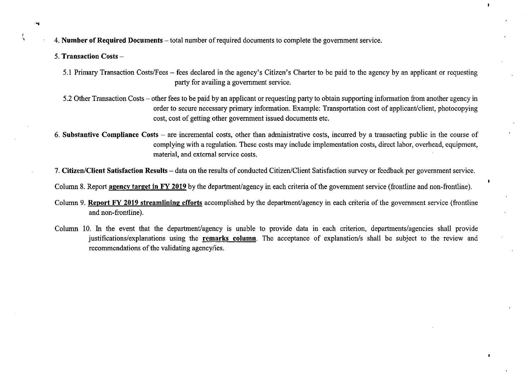4. Number of Required Documents – total number of required documents to complete the government service.

- 5. Transaction Costs
	- 5.1 Primary Transaction Costs/Fees fees declared in the agency's Citizen's Charter to be paid to the agency by an applicant or requesting party for availing a government service.

 $\ddot{\phantom{a}}$ 

- 5.2 Other Transaction Costs other fees to be paid by an applicant or requesting party to obtain supporting information from another agency in order to secure necessary primary information. Example: Transportation cost of applicant/client, photocopying cost, cost of getting other government issued documents etc.
- 6. Substantive Compliance Costs are incremental costs, other than administrative costs, incurred by a transacting public in the course of complying with a regulation. These costs may include implementation costs, direct labor, overhead, equipment, material, and external service costs. '
- 7. Citizen/Client Satisfaction Results data on the results of conducted Citizen/Client Satisfaction survey or feedback per government service.

Column 8. Report agency target in FY 2019 by the department/agency in each criteria of the government service (frontline and non-frontline).

- Column 9. Report FY 2019 streamlining efforts accomplished by the department/agency in each criteria of the government service (frontline and non-frontline).
- Column 10. In the event that the department/agency is unable to provide data in each criterion, departments/agencies shall provide justifications/explanations using the remarks column. The acceptance of explanation/s shall be subject to the review and recommendations of the validating agency/ies.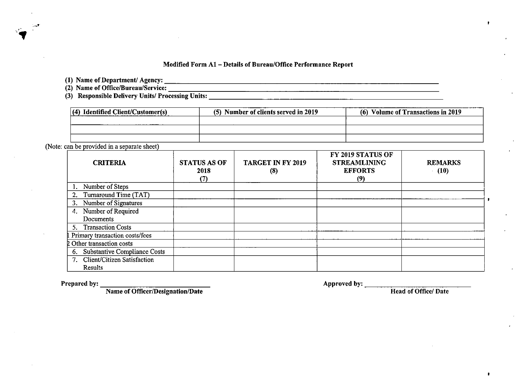#### Modified Form Al — Details of Bureau/Office Performance Report

(1) Name of Department/ Agency:

(2) Name of Office/Bureau/Service:

(3) Responsible Delivery Units/ Processing Units:

| $(4)$ Identified Client/Customer(s) | (5) Number of clients served in 2019 | (6) Volume of Transactions in 2019 |
|-------------------------------------|--------------------------------------|------------------------------------|
|                                     |                                      |                                    |
|                                     |                                      |                                    |
|                                     |                                      |                                    |

(Note: can be provided in a separate sheet)

| <b>CRITERIA</b>                 | <b>STATUS AS OF</b><br>2018<br>(7) | <b>TARGET IN FY 2019</b><br>(8) | FY 2019 STATUS OF<br><b>STREAMLINING</b><br><b>EFFORTS</b><br>(9) | <b>REMARKS</b><br>(10) |
|---------------------------------|------------------------------------|---------------------------------|-------------------------------------------------------------------|------------------------|
| Number of Steps                 |                                    |                                 |                                                                   |                        |
| Turnaround Time (TAT)<br>2.     |                                    |                                 |                                                                   |                        |
| 3. Number of Signatures         |                                    |                                 |                                                                   |                        |
| 4. Number of Required           |                                    |                                 |                                                                   |                        |
| Documents                       |                                    |                                 |                                                                   |                        |
| 5. Transaction Costs            |                                    |                                 |                                                                   |                        |
| Primary transaction costs/fees  |                                    |                                 |                                                                   |                        |
| 2 Other transaction costs       |                                    |                                 |                                                                   |                        |
| 6. Substantive Compliance Costs |                                    |                                 |                                                                   |                        |
| 7. Client/Citizen Satisfaction  |                                    |                                 |                                                                   |                        |
| Results                         |                                    |                                 |                                                                   |                        |

Prepared by: Approved by:

Name of Officer/Designation/Date **Head of Office/ Date** Head of Office/ Date

 $\bullet$ 

 $\mathbf{r}$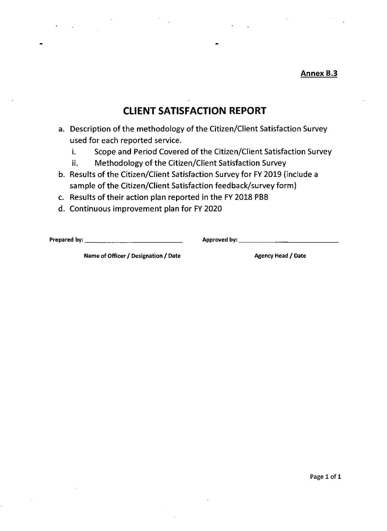**Annex B.3** 

# CLIENT SATISFACTION REPORT

- a. Description of the methodology of the Citizen/Client Satisfaction Survey used for each reported service.
	- i. Scope and Period Covered of the Citizen/Client Satisfaction Survey
	- ii. Methodology of the Citizen/Client Satisfaction Survey
- used for each reported service.<br>
i. Scope and Period Covered of the Citizen/Client Satisfaction Survey<br>
ii. Methodology of the Citizen/Client Satisfaction Survey<br>
b. Results of the Citizen/Client Satisfaction Survey for FV b. Results of the Citizen/Client Satisfaction Survey for FY 2019 (include a sample of the Citizen/Client Satisfaction feedback/survey form)
	- c. Results of their action plan reported in the FY 2018 PBB
	- d. Continuous improvement plan for FY 2020

Prepared by: Approved by:

Name of Officer / Designation / Date Agency Head / Date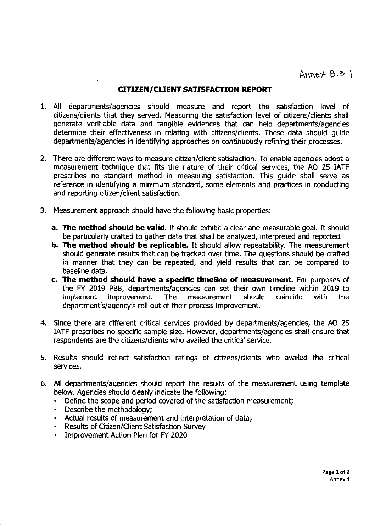Annet  $B.3.1$ 

<u> Emmer Albert (1911)</u>

## CITIZEN/CLIENT SATISFACTION REPORT

- All departments/agencies should measure and report the satisfaction level of citizens/clients that they served. Measuring the satisfaction level of citizens/clients shall generate verifiable data and tangible evidences that can help departments/agencies determine their effectiveness in relating with citizens/clients. These data should guide departments/agencies in identifying approaches on continuously refining their processes.
- There are different ways to measure citizen/client satisfaction. To enable agencies adopt a measurement technique that fits the nature of their critical services, the AO 25 IATF prescribes no standard method in measuring satisfaction. This guide shall serve as reference in identifying a minimum standard, some elements and practices in conducting and reporting citizen/client satisfaction.
- Measurement approach should have the following basic properties:
	- a. The method should be valid. It should exhibit a clear and measurable goal. It should be particularly crafted to gather data that shall be analyzed, interpreted and reported.
	- **b. The method should be replicable.** It should allow repeatability. The measurement should generate results that can be tracked over time. The questions should be crafted in manner that they can be repeated, and yield results that can be compared to baseline data.
	- c. The method should have a specific timeline of measurement. For purposes of the FY 2019 PBB, departments/agencies can set their own timeline within 2019 to implement improvement. The measurement should coincide with the improvement. department's/agency's roll out of their process improvement.
- Since there are different critical services provided by departments/agencies, the AO 25 IATF prescribes no specific sample size. However, departments/agencies shall ensure that respondents are the citizens/clients who availed the critical service.
- Results should reflect satisfaction ratings of citizens/clients who availed the critical services.
- All departments/agencies should report the results of the measurement using template below. Agencies should clearly indicate the following:
	- <sup>+</sup> Define the scope and period covered of the satisfaction measurement;
	- Describe the methodology;
	- Actual results of measurement and interpretation of data;
	- Results of Citizen/Client Satisfaction Survey  $\bullet$
	- $\bullet$ Improvement Action Plan for FY 2020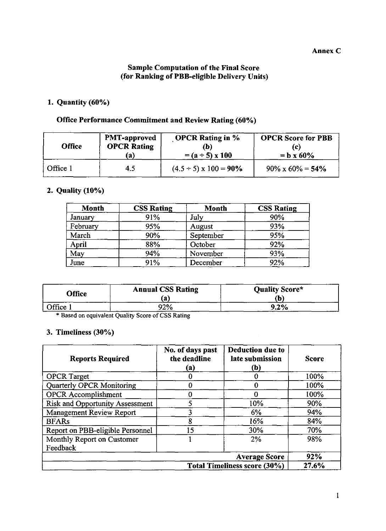## Sample Computation of the Final Score (for Ranking of PBB-eligible Delivery Units)

## 1. Quantity (60%)

# Office Performance Commitment and Review Rating (60%)

| <b>Office</b> | <b>PMT-approved</b> | <b>OPCR Rating in %</b>          | <b>OPCR</b> Score for PBB |
|---------------|---------------------|----------------------------------|---------------------------|
|               | <b>OPCR Rating</b>  | (b)                              | (c)                       |
|               | (a)                 | $= (a \div 5) \times 100$        | $= b x 60%$               |
| Office 1      | 4.5                 | $(4.5 \div 5) \times 100 = 90\%$ | $90\% \times 60\% = 54\%$ |

## 2. Quality (10%)

| Month    | <b>CSS Rating</b> | Month     | <b>CSS Rating</b> |
|----------|-------------------|-----------|-------------------|
| January  | 91%               | July      | 90%               |
| February | 95%               | August    | 93%               |
| March    | 90%               | September | 95%               |
| April    | 88%               | October   | 92%               |
| May      | 94%               | November  | 93%               |
| June     | 91%               | December  | 92%               |

| <b>Office</b> | <b>Annual CSS Rating</b><br>íа | <b>Quality Score*</b><br>(b) |
|---------------|--------------------------------|------------------------------|
| Office        | 92%                            | $9.2\%$                      |

## 3. Timeliness (30%)

| Month<br><b>CSS Rating</b><br><b>Month</b><br><b>CSS Rating</b><br>91%<br>July<br>90%<br><b>January</b><br>95%<br>93%<br>February<br>August<br>90%<br>March<br>95%<br>September<br>April<br>88%<br>October<br>92%<br>$\frac{1}{93\%}$<br>May<br>94%<br>November<br>92%<br>June<br>91%<br>December<br>Quality Score*<br><b>Annual CSS Rating</b><br><b>Office</b><br>(a)<br>(b)<br>92%<br>$9.2\%$<br>Office 1<br>* Based on equivalent Quality Score of CSS Rating<br>3. Timeliness (30%)<br>No. of days past<br>Deduction due to<br><b>Reports Required</b><br>the deadline<br>late submission<br><b>Score</b><br>(a)<br>(b)<br>100%<br><b>OPCR</b> Target<br>${\bf 0}$<br>$\mathbf{0}$<br><b>Quarterly OPCR Monitoring</b><br>100%<br>$\bf{0}$<br>$\mathbf{0}$<br>$\overline{0}$<br><b>OPCR</b> Accomplishment<br>$\boldsymbol{0}$<br>100% |  | $\overline{5}$<br><b>Risk and Opportunity Assessment</b><br>10%<br>90%<br>$\overline{3}$<br>Management Review Report<br>$6\%$<br>94% | $\overline{8}$<br>16%<br>84% | $\overline{15}$<br>30%<br>70% | <b>BFARs</b> |  |  |  |  |  |  |  |  |  |  |  |  |  | Report on PBB-eligible Personnel<br>Monthly Report on Customer<br>$2\%$<br>$\mathbf{1}$<br>98% | Feedback |  |
|---------------------------------------------------------------------------------------------------------------------------------------------------------------------------------------------------------------------------------------------------------------------------------------------------------------------------------------------------------------------------------------------------------------------------------------------------------------------------------------------------------------------------------------------------------------------------------------------------------------------------------------------------------------------------------------------------------------------------------------------------------------------------------------------------------------------------------------------|--|--------------------------------------------------------------------------------------------------------------------------------------|------------------------------|-------------------------------|--------------|--|--|--|--|--|--|--|--|--|--|--|--|--|------------------------------------------------------------------------------------------------|----------|--|
|                                                                                                                                                                                                                                                                                                                                                                                                                                                                                                                                                                                                                                                                                                                                                                                                                                             |  |                                                                                                                                      |                              |                               |              |  |  |  |  |  |  |  |  |  |  |  |  |  |                                                                                                |          |  |
|                                                                                                                                                                                                                                                                                                                                                                                                                                                                                                                                                                                                                                                                                                                                                                                                                                             |  |                                                                                                                                      |                              |                               |              |  |  |  |  |  |  |  |  |  |  |  |  |  |                                                                                                |          |  |
|                                                                                                                                                                                                                                                                                                                                                                                                                                                                                                                                                                                                                                                                                                                                                                                                                                             |  |                                                                                                                                      |                              |                               |              |  |  |  |  |  |  |  |  |  |  |  |  |  |                                                                                                |          |  |
|                                                                                                                                                                                                                                                                                                                                                                                                                                                                                                                                                                                                                                                                                                                                                                                                                                             |  |                                                                                                                                      |                              |                               |              |  |  |  |  |  |  |  |  |  |  |  |  |  |                                                                                                |          |  |
|                                                                                                                                                                                                                                                                                                                                                                                                                                                                                                                                                                                                                                                                                                                                                                                                                                             |  |                                                                                                                                      |                              |                               |              |  |  |  |  |  |  |  |  |  |  |  |  |  |                                                                                                |          |  |
|                                                                                                                                                                                                                                                                                                                                                                                                                                                                                                                                                                                                                                                                                                                                                                                                                                             |  |                                                                                                                                      |                              |                               |              |  |  |  |  |  |  |  |  |  |  |  |  |  |                                                                                                |          |  |
|                                                                                                                                                                                                                                                                                                                                                                                                                                                                                                                                                                                                                                                                                                                                                                                                                                             |  |                                                                                                                                      |                              |                               |              |  |  |  |  |  |  |  |  |  |  |  |  |  |                                                                                                |          |  |
|                                                                                                                                                                                                                                                                                                                                                                                                                                                                                                                                                                                                                                                                                                                                                                                                                                             |  |                                                                                                                                      |                              |                               |              |  |  |  |  |  |  |  |  |  |  |  |  |  |                                                                                                |          |  |
|                                                                                                                                                                                                                                                                                                                                                                                                                                                                                                                                                                                                                                                                                                                                                                                                                                             |  |                                                                                                                                      |                              |                               |              |  |  |  |  |  |  |  |  |  |  |  |  |  |                                                                                                |          |  |
| Average Score<br>92%<br><b>Total Timeliness score (30%)</b><br>27.6%                                                                                                                                                                                                                                                                                                                                                                                                                                                                                                                                                                                                                                                                                                                                                                        |  |                                                                                                                                      |                              |                               |              |  |  |  |  |  |  |  |  |  |  |  |  |  |                                                                                                |          |  |
|                                                                                                                                                                                                                                                                                                                                                                                                                                                                                                                                                                                                                                                                                                                                                                                                                                             |  |                                                                                                                                      |                              |                               |              |  |  |  |  |  |  |  |  |  |  |  |  |  |                                                                                                |          |  |
|                                                                                                                                                                                                                                                                                                                                                                                                                                                                                                                                                                                                                                                                                                                                                                                                                                             |  |                                                                                                                                      |                              |                               |              |  |  |  |  |  |  |  |  |  |  |  |  |  |                                                                                                |          |  |
|                                                                                                                                                                                                                                                                                                                                                                                                                                                                                                                                                                                                                                                                                                                                                                                                                                             |  |                                                                                                                                      |                              |                               |              |  |  |  |  |  |  |  |  |  |  |  |  |  |                                                                                                |          |  |
|                                                                                                                                                                                                                                                                                                                                                                                                                                                                                                                                                                                                                                                                                                                                                                                                                                             |  |                                                                                                                                      |                              |                               |              |  |  |  |  |  |  |  |  |  |  |  |  |  |                                                                                                |          |  |
|                                                                                                                                                                                                                                                                                                                                                                                                                                                                                                                                                                                                                                                                                                                                                                                                                                             |  |                                                                                                                                      |                              |                               |              |  |  |  |  |  |  |  |  |  |  |  |  |  |                                                                                                |          |  |
|                                                                                                                                                                                                                                                                                                                                                                                                                                                                                                                                                                                                                                                                                                                                                                                                                                             |  |                                                                                                                                      |                              |                               |              |  |  |  |  |  |  |  |  |  |  |  |  |  |                                                                                                |          |  |
|                                                                                                                                                                                                                                                                                                                                                                                                                                                                                                                                                                                                                                                                                                                                                                                                                                             |  |                                                                                                                                      |                              |                               |              |  |  |  |  |  |  |  |  |  |  |  |  |  |                                                                                                |          |  |
|                                                                                                                                                                                                                                                                                                                                                                                                                                                                                                                                                                                                                                                                                                                                                                                                                                             |  |                                                                                                                                      |                              |                               |              |  |  |  |  |  |  |  |  |  |  |  |  |  |                                                                                                |          |  |
|                                                                                                                                                                                                                                                                                                                                                                                                                                                                                                                                                                                                                                                                                                                                                                                                                                             |  |                                                                                                                                      |                              |                               |              |  |  |  |  |  |  |  |  |  |  |  |  |  |                                                                                                |          |  |
|                                                                                                                                                                                                                                                                                                                                                                                                                                                                                                                                                                                                                                                                                                                                                                                                                                             |  |                                                                                                                                      |                              |                               |              |  |  |  |  |  |  |  |  |  |  |  |  |  |                                                                                                |          |  |
|                                                                                                                                                                                                                                                                                                                                                                                                                                                                                                                                                                                                                                                                                                                                                                                                                                             |  |                                                                                                                                      |                              |                               |              |  |  |  |  |  |  |  |  |  |  |  |  |  |                                                                                                |          |  |
|                                                                                                                                                                                                                                                                                                                                                                                                                                                                                                                                                                                                                                                                                                                                                                                                                                             |  |                                                                                                                                      |                              |                               |              |  |  |  |  |  |  |  |  |  |  |  |  |  |                                                                                                |          |  |
|                                                                                                                                                                                                                                                                                                                                                                                                                                                                                                                                                                                                                                                                                                                                                                                                                                             |  |                                                                                                                                      |                              |                               |              |  |  |  |  |  |  |  |  |  |  |  |  |  |                                                                                                |          |  |
|                                                                                                                                                                                                                                                                                                                                                                                                                                                                                                                                                                                                                                                                                                                                                                                                                                             |  |                                                                                                                                      |                              |                               |              |  |  |  |  |  |  |  |  |  |  |  |  |  |                                                                                                |          |  |
|                                                                                                                                                                                                                                                                                                                                                                                                                                                                                                                                                                                                                                                                                                                                                                                                                                             |  |                                                                                                                                      |                              |                               |              |  |  |  |  |  |  |  |  |  |  |  |  |  |                                                                                                |          |  |
|                                                                                                                                                                                                                                                                                                                                                                                                                                                                                                                                                                                                                                                                                                                                                                                                                                             |  |                                                                                                                                      |                              |                               |              |  |  |  |  |  |  |  |  |  |  |  |  |  |                                                                                                |          |  |
|                                                                                                                                                                                                                                                                                                                                                                                                                                                                                                                                                                                                                                                                                                                                                                                                                                             |  |                                                                                                                                      |                              |                               |              |  |  |  |  |  |  |  |  |  |  |  |  |  |                                                                                                |          |  |
|                                                                                                                                                                                                                                                                                                                                                                                                                                                                                                                                                                                                                                                                                                                                                                                                                                             |  |                                                                                                                                      |                              |                               |              |  |  |  |  |  |  |  |  |  |  |  |  |  |                                                                                                |          |  |
|                                                                                                                                                                                                                                                                                                                                                                                                                                                                                                                                                                                                                                                                                                                                                                                                                                             |  |                                                                                                                                      |                              |                               |              |  |  |  |  |  |  |  |  |  |  |  |  |  |                                                                                                |          |  |
|                                                                                                                                                                                                                                                                                                                                                                                                                                                                                                                                                                                                                                                                                                                                                                                                                                             |  |                                                                                                                                      |                              |                               |              |  |  |  |  |  |  |  |  |  |  |  |  |  |                                                                                                |          |  |
|                                                                                                                                                                                                                                                                                                                                                                                                                                                                                                                                                                                                                                                                                                                                                                                                                                             |  |                                                                                                                                      |                              |                               |              |  |  |  |  |  |  |  |  |  |  |  |  |  |                                                                                                |          |  |
|                                                                                                                                                                                                                                                                                                                                                                                                                                                                                                                                                                                                                                                                                                                                                                                                                                             |  |                                                                                                                                      |                              |                               |              |  |  |  |  |  |  |  |  |  |  |  |  |  |                                                                                                |          |  |
|                                                                                                                                                                                                                                                                                                                                                                                                                                                                                                                                                                                                                                                                                                                                                                                                                                             |  |                                                                                                                                      |                              |                               |              |  |  |  |  |  |  |  |  |  |  |  |  |  |                                                                                                |          |  |
|                                                                                                                                                                                                                                                                                                                                                                                                                                                                                                                                                                                                                                                                                                                                                                                                                                             |  |                                                                                                                                      |                              |                               |              |  |  |  |  |  |  |  |  |  |  |  |  |  |                                                                                                |          |  |
|                                                                                                                                                                                                                                                                                                                                                                                                                                                                                                                                                                                                                                                                                                                                                                                                                                             |  |                                                                                                                                      |                              |                               |              |  |  |  |  |  |  |  |  |  |  |  |  |  |                                                                                                |          |  |
|                                                                                                                                                                                                                                                                                                                                                                                                                                                                                                                                                                                                                                                                                                                                                                                                                                             |  |                                                                                                                                      |                              |                               |              |  |  |  |  |  |  |  |  |  |  |  |  |  |                                                                                                |          |  |
|                                                                                                                                                                                                                                                                                                                                                                                                                                                                                                                                                                                                                                                                                                                                                                                                                                             |  |                                                                                                                                      |                              |                               |              |  |  |  |  |  |  |  |  |  |  |  |  |  |                                                                                                |          |  |
|                                                                                                                                                                                                                                                                                                                                                                                                                                                                                                                                                                                                                                                                                                                                                                                                                                             |  |                                                                                                                                      |                              |                               |              |  |  |  |  |  |  |  |  |  |  |  |  |  |                                                                                                |          |  |
|                                                                                                                                                                                                                                                                                                                                                                                                                                                                                                                                                                                                                                                                                                                                                                                                                                             |  |                                                                                                                                      |                              |                               |              |  |  |  |  |  |  |  |  |  |  |  |  |  |                                                                                                |          |  |
|                                                                                                                                                                                                                                                                                                                                                                                                                                                                                                                                                                                                                                                                                                                                                                                                                                             |  |                                                                                                                                      |                              |                               |              |  |  |  |  |  |  |  |  |  |  |  |  |  |                                                                                                |          |  |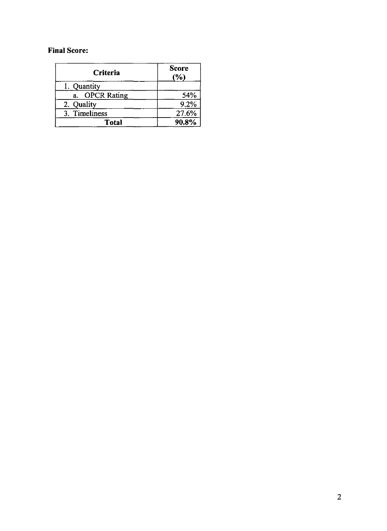## Final Score:

| Criteria       | <b>Score</b><br>(%) |
|----------------|---------------------|
| 1. Quantity    |                     |
| a. OPCR Rating | 54%                 |
| 2. Quality     | 9.2%                |
| 3. Timeliness  | 27.6%               |
| Total          | 90.8%               |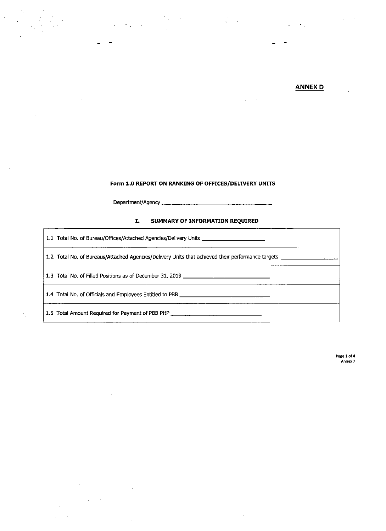#### ANNEX D

#### Form 1.0 REPORT ON RANKING OF OFFICES/DELIVERY UNITS

Department/Agency

#### I. SUMMARY OF INFORMATION REQUIRED

1.1 Total No. of Bureau/Offices/Attached Agencies/Delivery Units

 $\langle \sigma_{\rm{1}} \rangle$  .

1.2 Total No. of Bureaus/Attached Agencies/Delivery Units that achieved their performance targets \_

1.3 Total No.of Filled Positions as of December 31, <sup>2019</sup>

1.4 Total No, of Officials and Employees Entitled to PBB

1.5 Total Amount Required for Payment of PBB PHP

 $\sim 10^{-10}$ 

Page 1 of 4 Annex 7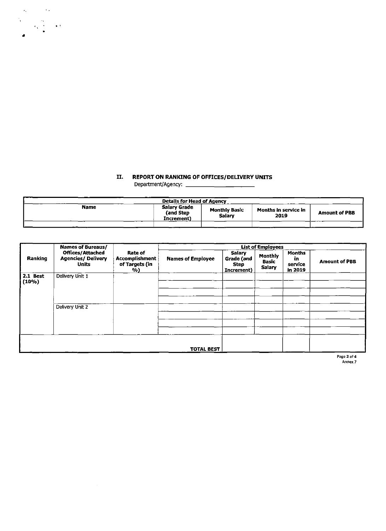## II. REPORT ON RANKING OF OFFICES/DELIVERY UNITS

|             | <b>Details for Head of Agency</b>       |                                |                              |                      |
|-------------|-----------------------------------------|--------------------------------|------------------------------|----------------------|
| <b>Name</b> | Salary Grade<br>(and Step<br>Increment) | <b>Monthly Basic</b><br>Salary | Months in service in<br>2019 | <b>Amount of PBB</b> |
|             |                                         |                                |                              |                      |

| <b>Name</b><br><b>Monthly Basic<br/>Salary</b><br>Months in service in<br>2019<br><b>Names of Bureaus/<br/>Offices/Attached<br/>Agencies/ Delivery<br/>Units</b><br><b>List of Employees</b><br>Rate of<br>Accomplishment<br>of Targets (in<br>(96)<br>Salary<br>Grade (and<br>Step<br>Increment)<br><b>Months</b><br>Monthly<br>Basic<br>Salary<br>Ranking<br><b>Names of Employee</b><br>in<br>service<br><u>in 2019</u><br>$2.1$ Best<br>Delivery Unit 1<br>$(10\%)$<br>Delivery Unit 2<br><b>TOTAL BEST</b> |  |  |  | II.<br>REPORT ON RANKING OF OFFICES/DELIVERY UNITS |  |                                                                                          |
|-----------------------------------------------------------------------------------------------------------------------------------------------------------------------------------------------------------------------------------------------------------------------------------------------------------------------------------------------------------------------------------------------------------------------------------------------------------------------------------------------------------------|--|--|--|----------------------------------------------------|--|------------------------------------------------------------------------------------------|
|                                                                                                                                                                                                                                                                                                                                                                                                                                                                                                                 |  |  |  | <b>Amount of PBB</b>                               |  |                                                                                          |
|                                                                                                                                                                                                                                                                                                                                                                                                                                                                                                                 |  |  |  |                                                    |  | <b>Details for Head of Agency<br/> Salary Grade Monthly<br/> (and Step Monthly Salar</b> |
|                                                                                                                                                                                                                                                                                                                                                                                                                                                                                                                 |  |  |  | Amount of PBB                                      |  |                                                                                          |
|                                                                                                                                                                                                                                                                                                                                                                                                                                                                                                                 |  |  |  |                                                    |  |                                                                                          |
| $\sim$                                                                                                                                                                                                                                                                                                                                                                                                                                                                                                          |  |  |  | Page 2 of 4<br>Annex 7                             |  |                                                                                          |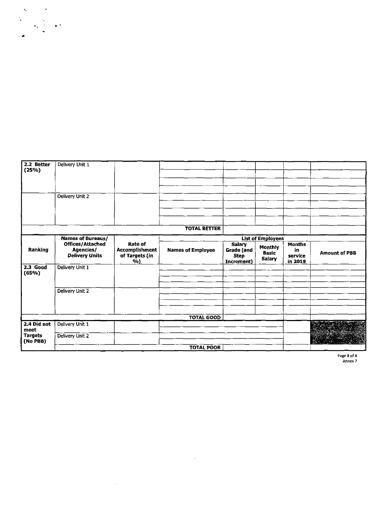| 2.2 Better<br>(25%)<br>Delivery Unit 1<br>Delivery Unit 2<br><b>TOTAL BETTER</b><br>$\mathbf{1}$<br>⊣<br>List of Employees<br><b>Names of Bureaus/<br/>Offices/Attached<br/>Agencies/<br/>Delivery Units</b><br>Rate of<br>Accomplishment<br>of Targets (in<br>(%)<br>Months<br>in<br>service<br>in 2019<br>Salary<br>Grade (and<br>Step<br>Increment)<br>Monthly<br>Basic<br>Salary<br>Ranking<br><b>Names of Employee</b><br><b>Amount of PBB</b><br>2.3 Good<br>(65%)<br>Delivery Unit 1<br>Delivery Unit 2<br><b>TOTAL GOOD</b><br>2.4 Did not<br>Delivery Unit 1<br>meet<br>Targets<br>(No PBB)<br>Delivery Unit 2<br><b>TOTAL POOR</b> | Page 3 of 4<br>Annex 7 |  |  |
|----------------------------------------------------------------------------------------------------------------------------------------------------------------------------------------------------------------------------------------------------------------------------------------------------------------------------------------------------------------------------------------------------------------------------------------------------------------------------------------------------------------------------------------------------------------------------------------------------------------------------------------------|------------------------|--|--|
|                                                                                                                                                                                                                                                                                                                                                                                                                                                                                                                                                                                                                                              |                        |  |  |
|                                                                                                                                                                                                                                                                                                                                                                                                                                                                                                                                                                                                                                              |                        |  |  |
|                                                                                                                                                                                                                                                                                                                                                                                                                                                                                                                                                                                                                                              |                        |  |  |
|                                                                                                                                                                                                                                                                                                                                                                                                                                                                                                                                                                                                                                              |                        |  |  |
|                                                                                                                                                                                                                                                                                                                                                                                                                                                                                                                                                                                                                                              |                        |  |  |
|                                                                                                                                                                                                                                                                                                                                                                                                                                                                                                                                                                                                                                              |                        |  |  |
|                                                                                                                                                                                                                                                                                                                                                                                                                                                                                                                                                                                                                                              |                        |  |  |
|                                                                                                                                                                                                                                                                                                                                                                                                                                                                                                                                                                                                                                              |                        |  |  |
|                                                                                                                                                                                                                                                                                                                                                                                                                                                                                                                                                                                                                                              |                        |  |  |
|                                                                                                                                                                                                                                                                                                                                                                                                                                                                                                                                                                                                                                              |                        |  |  |
|                                                                                                                                                                                                                                                                                                                                                                                                                                                                                                                                                                                                                                              |                        |  |  |
|                                                                                                                                                                                                                                                                                                                                                                                                                                                                                                                                                                                                                                              |                        |  |  |
|                                                                                                                                                                                                                                                                                                                                                                                                                                                                                                                                                                                                                                              |                        |  |  |
|                                                                                                                                                                                                                                                                                                                                                                                                                                                                                                                                                                                                                                              |                        |  |  |
|                                                                                                                                                                                                                                                                                                                                                                                                                                                                                                                                                                                                                                              |                        |  |  |